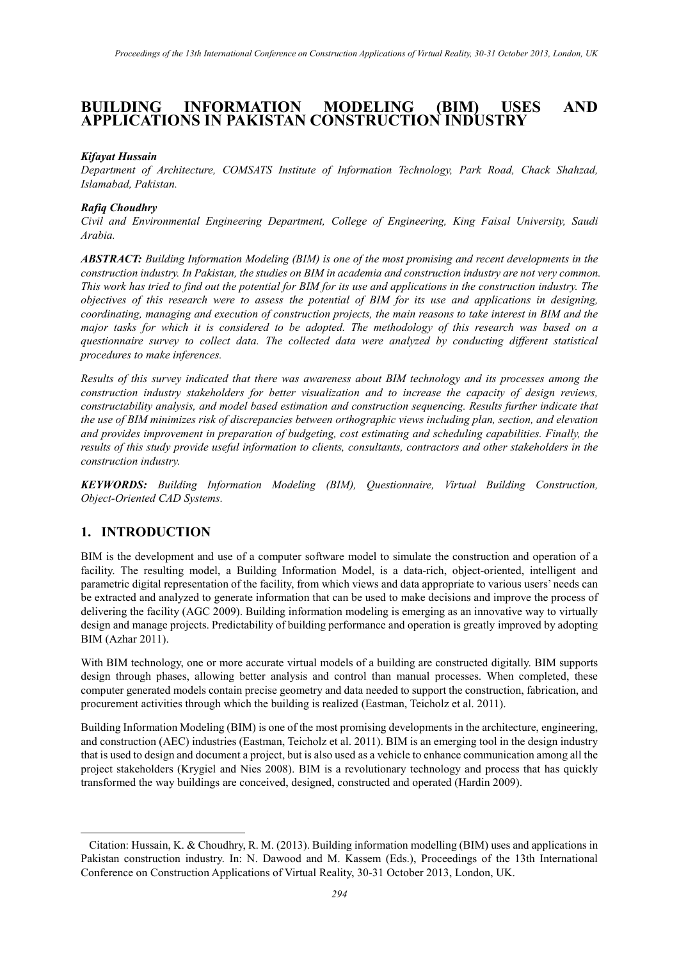# **BUILDING INFORMATION MODELING (BIM) USES AND APPLICATIONS IN PAKISTAN CONSTRUCTION INDUSTRY[1](#page-0-0)**

### *Kifayat Hussain*

*Department of Architecture, COMSATS Institute of Information Technology, Park Road, Chack Shahzad, Islamabad, Pakistan.*

### *Rafiq Choudhry*

*Civil and Environmental Engineering Department, College of Engineering, King Faisal University, Saudi Arabia.*

*ABSTRACT: Building Information Modeling (BIM) is one of the most promising and recent developments in the construction industry. In Pakistan, the studies on BIM in academia and construction industry are not very common. This work has tried to find out the potential for BIM for its use and applications in the construction industry. The objectives of this research were to assess the potential of BIM for its use and applications in designing, coordinating, managing and execution of construction projects, the main reasons to take interest in BIM and the major tasks for which it is considered to be adopted. The methodology of this research was based on a questionnaire survey to collect data. The collected data were analyzed by conducting different statistical procedures to make inferences.* 

*Results of this survey indicated that there was awareness about BIM technology and its processes among the construction industry stakeholders for better visualization and to increase the capacity of design reviews, constructability analysis, and model based estimation and construction sequencing. Results further indicate that the use of BIM minimizes risk of discrepancies between orthographic views including plan, section, and elevation and provides improvement in preparation of budgeting, cost estimating and scheduling capabilities. Finally, the results of this study provide useful information to clients, consultants, contractors and other stakeholders in the construction industry.* 

*KEYWORDS: Building Information Modeling (BIM), Questionnaire, Virtual Building Construction, Object-Oriented CAD Systems.*

## **1. INTRODUCTION**

-

BIM is the development and use of a computer software model to simulate the construction and operation of a facility. The resulting model, a Building Information Model, is a data-rich, object-oriented, intelligent and parametric digital representation of the facility, from which views and data appropriate to various users' needs can be extracted and analyzed to generate information that can be used to make decisions and improve the process of delivering the facility (AGC 2009). Building information modeling is emerging as an innovative way to virtually design and manage projects. Predictability of building performance and operation is greatly improved by adopting BIM (Azhar 2011).

With BIM technology, one or more accurate virtual models of a building are constructed digitally. BIM supports design through phases, allowing better analysis and control than manual processes. When completed, these computer generated models contain precise geometry and data needed to support the construction, fabrication, and procurement activities through which the building is realized (Eastman, Teicholz et al. 2011).

Building Information Modeling (BIM) is one of the most promising developments in the architecture, engineering, and construction (AEC) industries (Eastman, Teicholz et al. 2011). BIM is an emerging tool in the design industry that is used to design and document a project, but is also used as a vehicle to enhance communication among all the project stakeholders (Krygiel and Nies 2008). BIM is a revolutionary technology and process that has quickly transformed the way buildings are conceived, designed, constructed and operated (Hardin 2009).

<span id="page-0-0"></span><sup>1</sup> Citation: Hussain, K. & Choudhry, R. M. (2013). Building information modelling (BIM) uses and applications in Pakistan construction industry. In: N. Dawood and M. Kassem (Eds.), Proceedings of the 13th International Conference on Construction Applications of Virtual Reality, 30-31 October 2013, London, UK.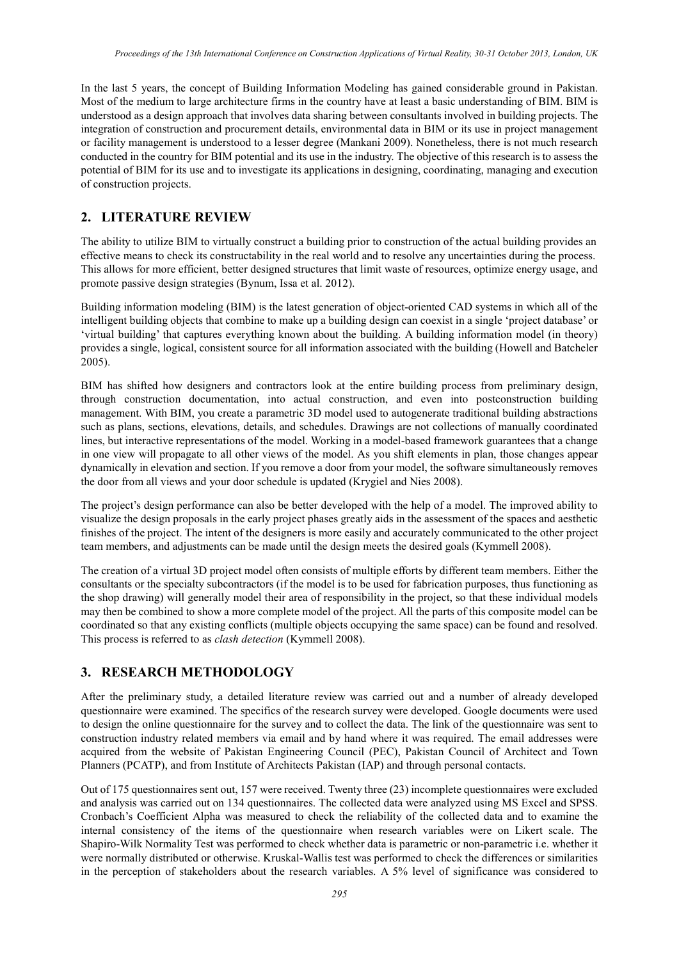In the last 5 years, the concept of Building Information Modeling has gained considerable ground in Pakistan. Most of the medium to large architecture firms in the country have at least a basic understanding of BIM. BIM is understood as a design approach that involves data sharing between consultants involved in building projects. The integration of construction and procurement details, environmental data in BIM or its use in project management or facility management is understood to a lesser degree [\(Mankani 2009\)](#page-11-0). Nonetheless, there is not much research conducted in the country for BIM potential and its use in the industry. The objective of this research is to assess the potential of BIM for its use and to investigate its applications in designing, coordinating, managing and execution of construction projects.

## **2. LITERATURE REVIEW**

The ability to utilize BIM to virtually construct a building prior to construction of the actual building provides an effective means to check its constructability in the real world and to resolve any uncertainties during the process. This allows for more efficient, better designed structures that limit waste of resources, optimize energy usage, and promote passive design strategies (Bynum, Issa et al. 2012).

Building information modeling (BIM) is the latest generation of object-oriented CAD systems in which all of the intelligent building objects that combine to make up a building design can coexist in a single 'project database' or 'virtual building' that captures everything known about the building. A building information model (in theory) provides a single, logical, consistent source for all information associated with the building (Howell and Batcheler 2005).

BIM has shifted how designers and contractors look at the entire building process from preliminary design, through construction documentation, into actual construction, and even into postconstruction building management. With BIM, you create a parametric 3D model used to autogenerate traditional building abstractions such as plans, sections, elevations, details, and schedules. Drawings are not collections of manually coordinated lines, but interactive representations of the model. Working in a model-based framework guarantees that a change in one view will propagate to all other views of the model. As you shift elements in plan, those changes appear dynamically in elevation and section. If you remove a door from your model, the software simultaneously removes the door from all views and your door schedule is updated (Krygiel and Nies 2008).

The project's design performance can also be better developed with the help of a model. The improved ability to visualize the design proposals in the early project phases greatly aids in the assessment of the spaces and aesthetic finishes of the project. The intent of the designers is more easily and accurately communicated to the other project team members, and adjustments can be made until the design meets the desired goals (Kymmell 2008).

The creation of a virtual 3D project model often consists of multiple efforts by different team members. Either the consultants or the specialty subcontractors (if the model is to be used for fabrication purposes, thus functioning as the shop drawing) will generally model their area of responsibility in the project, so that these individual models may then be combined to show a more complete model of the project. All the parts of this composite model can be coordinated so that any existing conflicts (multiple objects occupying the same space) can be found and resolved. This process is referred to as *clash detection* (Kymmell 2008).

# **3. RESEARCH METHODOLOGY**

After the preliminary study, a detailed literature review was carried out and a number of already developed questionnaire were examined. The specifics of the research survey were developed. Google documents were used to design the online questionnaire for the survey and to collect the data. The link of the questionnaire was sent to construction industry related members via email and by hand where it was required. The email addresses were acquired from the website of Pakistan Engineering Council (PEC), Pakistan Council of Architect and Town Planners (PCATP), and from Institute of Architects Pakistan (IAP) and through personal contacts.

Out of 175 questionnaires sent out, 157 were received. Twenty three (23) incomplete questionnaires were excluded and analysis was carried out on 134 questionnaires. The collected data were analyzed using MS Excel and SPSS. Cronbach's Coefficient Alpha was measured to check the reliability of the collected data and to examine the internal consistency of the items of the questionnaire when research variables were on Likert scale. The Shapiro-Wilk Normality Test was performed to check whether data is parametric or non-parametric i.e. whether it were normally distributed or otherwise. Kruskal-Wallis test was performed to check the differences or similarities in the perception of stakeholders about the research variables. A 5% level of significance was considered to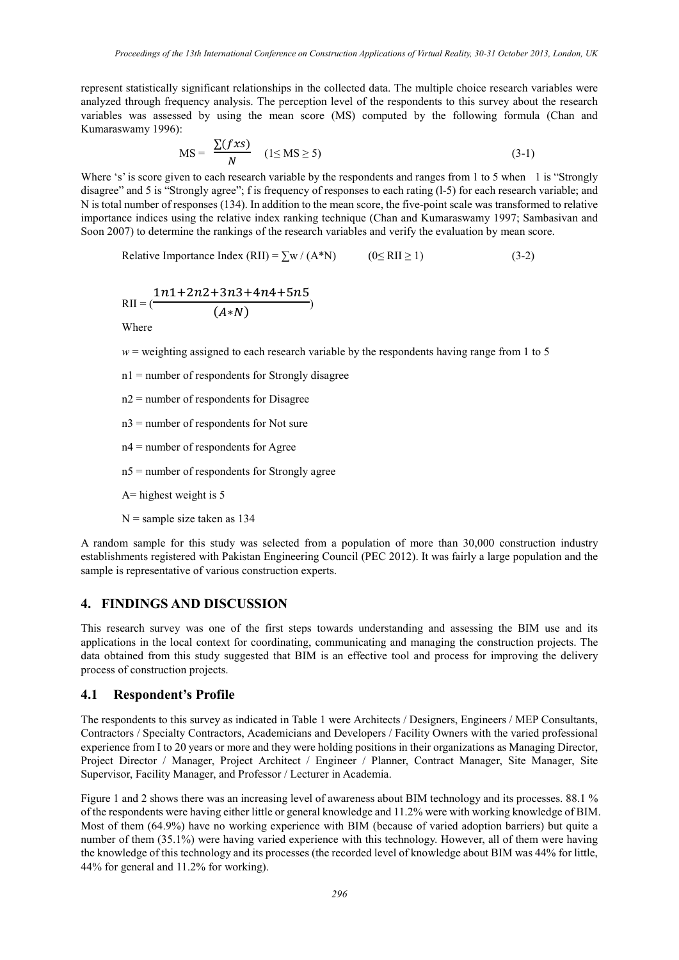represent statistically significant relationships in the collected data. The multiple choice research variables were analyzed through frequency analysis. The perception level of the respondents to this survey about the research variables was assessed by using the mean score (MS) computed by the following formula (Chan and Kumaraswamy 1996):

$$
MS = \frac{\sum (fxs)}{N} \quad (1 \le MS \ge 5)
$$
 (3-1)

Where 's' is score given to each research variable by the respondents and ranges from 1 to 5 when 1 is "Strongly disagree" and 5 is "Strongly agree"; f is frequency of responses to each rating (1-5) for each research variable; and N is total number of responses (134). In addition to the mean score, the five-point scale was transformed to relative importance indices using the relative index ranking technique (Chan and Kumaraswamy 1997; [Sambasivan and](#page-11-1)  [Soon 2007\)](#page-11-1) to determine the rankings of the research variables and verify the evaluation by mean score.

Relative Importance Index (RII) =  $\sum w / (A^*N)$  (0≤ RII ≥ 1) (3-2)

$$
RII = \frac{(1n1 + 2n2 + 3n3 + 4n4 + 5n5)}{(A*N)}
$$

Where

 $w =$  weighting assigned to each research variable by the respondents having range from 1 to 5

- n1 = number of respondents for Strongly disagree
- n2 = number of respondents for Disagree
- n3 = number of respondents for Not sure
- n4 = number of respondents for Agree
- n5 = number of respondents for Strongly agree
- A= highest weight is 5
- $N$  = sample size taken as 134

A random sample for this study was selected from a population of more than 30,000 construction industry establishments registered with Pakistan Engineering Council [\(PEC 2012\)](#page-11-2). It was fairly a large population and the sample is representative of various construction experts.

### **4. FINDINGS AND DISCUSSION**

This research survey was one of the first steps towards understanding and assessing the BIM use and its applications in the local context for coordinating, communicating and managing the construction projects. The data obtained from this study suggested that BIM is an effective tool and process for improving the delivery process of construction projects.

### **4.1 Respondent's Profile**

The respondents to this survey as indicated in Table 1 were Architects / Designers, Engineers / MEP Consultants, Contractors / Specialty Contractors, Academicians and Developers / Facility Owners with the varied professional experience from I to 20 years or more and they were holding positions in their organizations as Managing Director, Project Director / Manager, Project Architect / Engineer / Planner, Contract Manager, Site Manager, Site Supervisor, Facility Manager, and Professor / Lecturer in Academia.

Figure 1 and 2 shows there was an increasing level of awareness about BIM technology and its processes. 88.1 % of the respondents were having either little or general knowledge and 11.2% were with working knowledge of BIM. Most of them (64.9%) have no working experience with BIM (because of varied adoption barriers) but quite a number of them (35.1%) were having varied experience with this technology. However, all of them were having the knowledge of this technology and its processes (the recorded level of knowledge about BIM was 44% for little, 44% for general and 11.2% for working).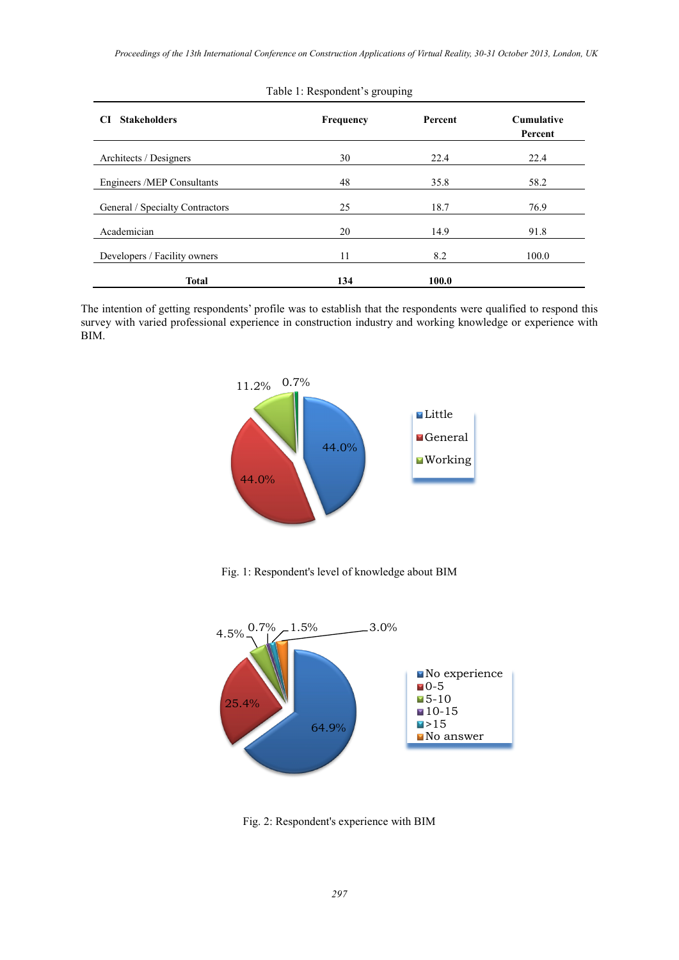| Table 1: Respondent's grouping  |           |         |                              |  |  |
|---------------------------------|-----------|---------|------------------------------|--|--|
| <b>Stakeholders</b><br>CI       | Frequency | Percent | <b>Cumulative</b><br>Percent |  |  |
| Architects / Designers          | 30        | 22.4    | 22.4                         |  |  |
| Engineers /MEP Consultants      | 48        | 35.8    | 58.2                         |  |  |
| General / Specialty Contractors | 25        | 18.7    | 76.9                         |  |  |
| Academician                     | 20        | 14.9    | 91.8                         |  |  |
| Developers / Facility owners    | 11        | 8.2     | 100.0                        |  |  |
| <b>Total</b>                    | 134       | 100.0   |                              |  |  |

The intention of getting respondents' profile was to establish that the respondents were qualified to respond this survey with varied professional experience in construction industry and working knowledge or experience with BIM.



Fig. 1: Respondent's level of knowledge about BIM



Fig. 2: Respondent's experience with BIM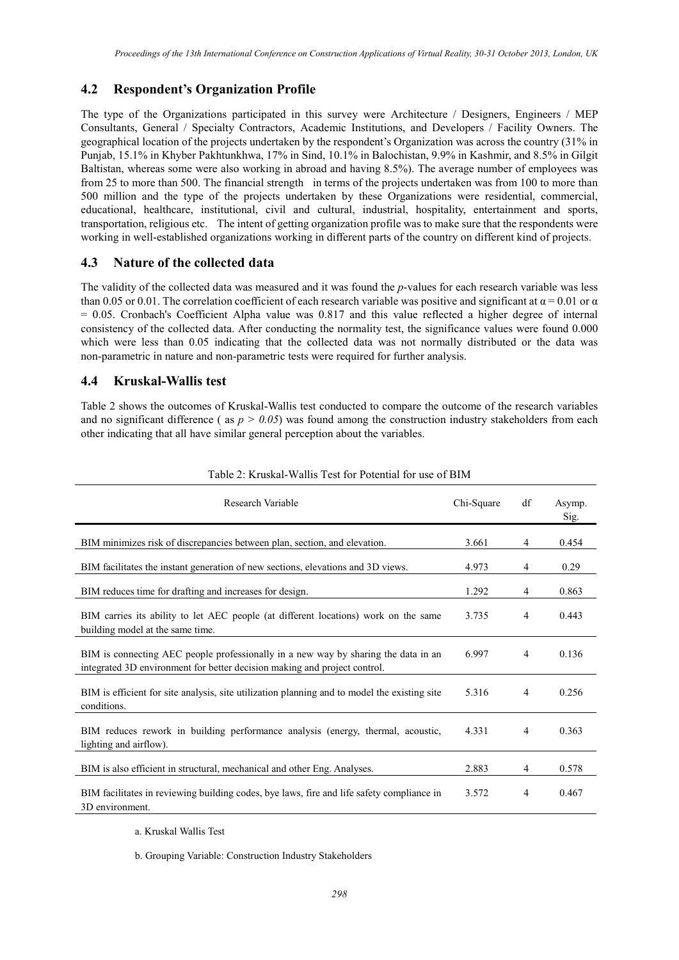## **4.2 Respondent's Organization Profile**

The type of the Organizations participated in this survey were Architecture / Designers, Engineers / MEP Consultants, General / Specialty Contractors, Academic Institutions, and Developers / Facility Owners. The geographical location of the projects undertaken by the respondent's Organization was across the country (31% in Punjab, 15.1% in Khyber Pakhtunkhwa, 17% in Sind, 10.1% in Balochistan, 9.9% in Kashmir, and 8.5% in Gilgit Baltistan, whereas some were also working in abroad and having 8.5%). The average number of employees was from 25 to more than 500. The financial strength in terms of the projects undertaken was from 100 to more than 500 million and the type of the projects undertaken by these Organizations were residential, commercial, educational, healthcare, institutional, civil and cultural, industrial, hospitality, entertainment and sports, transportation, religious etc. The intent of getting organization profile was to make sure that the respondents were working in well-established organizations working in different parts of the country on different kind of projects.

## **4.3 Nature of the collected data**

The validity of the collected data was measured and it was found the *p*-values for each research variable was less than 0.05 or 0.01. The correlation coefficient of each research variable was positive and significant at  $\alpha$  = 0.01 or  $\alpha$  $= 0.05$ . Cronbach's Coefficient Alpha value was 0.817 and this value reflected a higher degree of internal consistency of the collected data. After conducting the normality test, the significance values were found 0.000 which were less than 0.05 indicating that the collected data was not normally distributed or the data was non-parametric in nature and non-parametric tests were required for further analysis.

## **4.4 Kruskal-Wallis test**

Table 2 shows the outcomes of Kruskal-Wallis test conducted to compare the outcome of the research variables and no significant difference (as  $p > 0.05$ ) was found among the construction industry stakeholders from each other indicating that all have similar general perception about the variables.

| Research Variable                                                                                                                                               | Chi-Square | df             | Asymp.<br>Sig. |
|-----------------------------------------------------------------------------------------------------------------------------------------------------------------|------------|----------------|----------------|
| BIM minimizes risk of discrepancies between plan, section, and elevation.                                                                                       | 3.661      | 4              | 0.454          |
| BIM facilitates the instant generation of new sections, elevations and 3D views.                                                                                | 4.973      | 4              | 0.29           |
| BIM reduces time for drafting and increases for design.                                                                                                         | 1.292      | 4              | 0.863          |
| BIM carries its ability to let AEC people (at different locations) work on the same<br>building model at the same time.                                         | 3.735      | 4              | 0.443          |
| BIM is connecting AEC people professionally in a new way by sharing the data in an<br>integrated 3D environment for better decision making and project control. | 6.997      | $\overline{4}$ | 0.136          |
| BIM is efficient for site analysis, site utilization planning and to model the existing site<br>conditions.                                                     | 5.316      | 4              | 0.256          |
| BIM reduces rework in building performance analysis (energy, thermal, acoustic,<br>lighting and airflow).                                                       | 4.331      | 4              | 0.363          |
| BIM is also efficient in structural, mechanical and other Eng. Analyses.                                                                                        | 2.883      | 4              | 0.578          |
| BIM facilitates in reviewing building codes, bye laws, fire and life safety compliance in<br>3D environment.                                                    | 3.572      | 4              | 0.467          |

### Table 2: Kruskal-Wallis Test for Potential for use of BIM

a. Kruskal Wallis Test

b. Grouping Variable: Construction Industry Stakeholders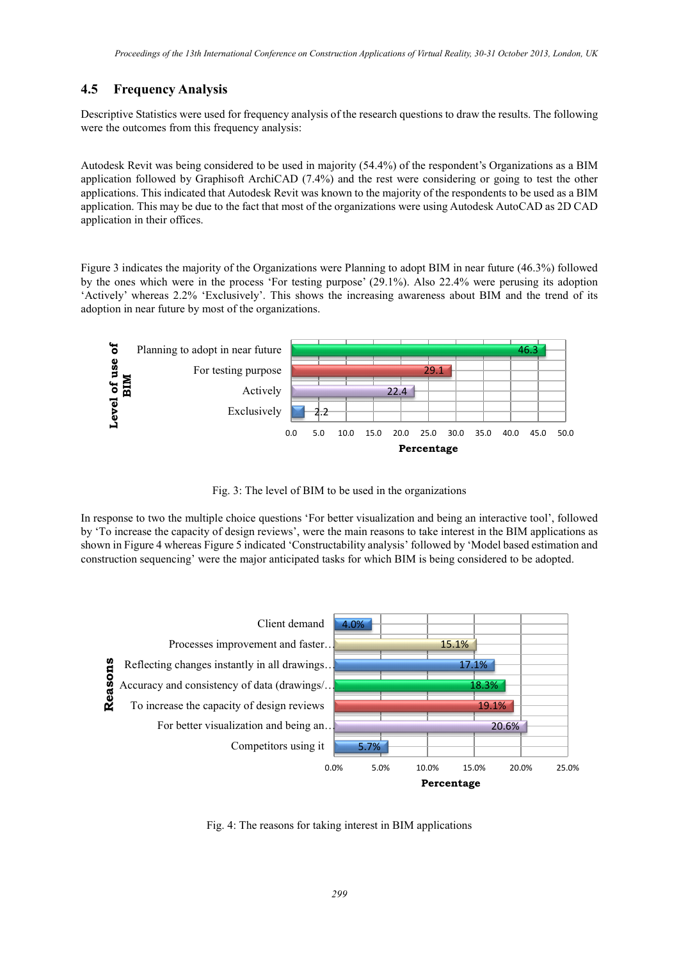# **4.5 Frequency Analysis**

Descriptive Statistics were used for frequency analysis of the research questions to draw the results. The following were the outcomes from this frequency analysis:

Autodesk Revit was being considered to be used in majority (54.4%) of the respondent's Organizations as a BIM application followed by Graphisoft ArchiCAD (7.4%) and the rest were considering or going to test the other applications. This indicated that Autodesk Revit was known to the majority of the respondents to be used as a BIM application. This may be due to the fact that most of the organizations were using Autodesk AutoCAD as 2D CAD application in their offices.

Figure 3 indicates the majority of the Organizations were Planning to adopt BIM in near future (46.3%) followed by the ones which were in the process 'For testing purpose' (29.1%). Also 22.4% were perusing its adoption 'Actively' whereas 2.2% 'Exclusively'. This shows the increasing awareness about BIM and the trend of its adoption in near future by most of the organizations.



Fig. 3: The level of BIM to be used in the organizations

In response to two the multiple choice questions 'For better visualization and being an interactive tool', followed by 'To increase the capacity of design reviews', were the main reasons to take interest in the BIM applications as shown in Figure 4 whereas Figure 5 indicated 'Constructability analysis' followed by 'Model based estimation and construction sequencing' were the major anticipated tasks for which BIM is being considered to be adopted.



Fig. 4: The reasons for taking interest in BIM applications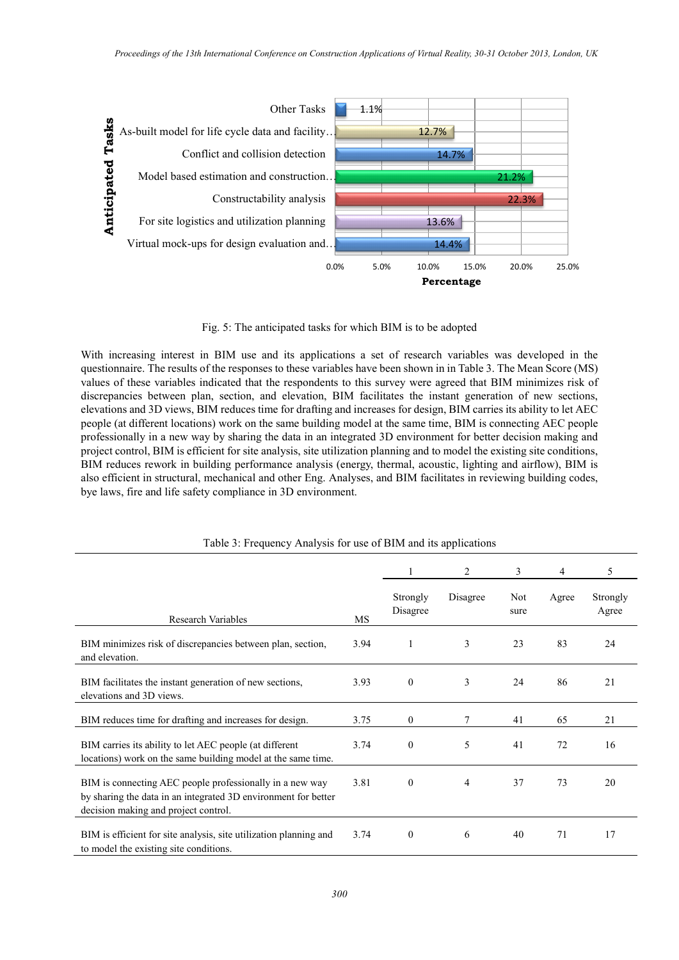

Fig. 5: The anticipated tasks for which BIM is to be adopted

With increasing interest in BIM use and its applications a set of research variables was developed in the questionnaire. The results of the responses to these variables have been shown in in Table 3. The Mean Score (MS) values of these variables indicated that the respondents to this survey were agreed that BIM minimizes risk of discrepancies between plan, section, and elevation, BIM facilitates the instant generation of new sections, elevations and 3D views, BIM reduces time for drafting and increases for design, BIM carries its ability to let AEC people (at different locations) work on the same building model at the same time, BIM is connecting AEC people professionally in a new way by sharing the data in an integrated 3D environment for better decision making and project control, BIM is efficient for site analysis, site utilization planning and to model the existing site conditions, BIM reduces rework in building performance analysis (energy, thermal, acoustic, lighting and airflow), BIM is also efficient in structural, mechanical and other Eng. Analyses, and BIM facilitates in reviewing building codes, bye laws, fire and life safety compliance in 3D environment.

|                                                                                                                                                                    |           |                      | 2              | 3           | 4     | 5                 |
|--------------------------------------------------------------------------------------------------------------------------------------------------------------------|-----------|----------------------|----------------|-------------|-------|-------------------|
| Research Variables                                                                                                                                                 | <b>MS</b> | Strongly<br>Disagree | Disagree       | Not<br>sure | Agree | Strongly<br>Agree |
| BIM minimizes risk of discrepancies between plan, section,<br>and elevation.                                                                                       | 3.94      | 1                    | 3              | 23          | 83    | 24                |
| BIM facilitates the instant generation of new sections,<br>elevations and 3D views.                                                                                | 3.93      | $\mathbf{0}$         | 3              | 24          | 86    | 21                |
| BIM reduces time for drafting and increases for design.                                                                                                            | 3.75      | $\mathbf{0}$         | 7              | 41          | 65    | 21                |
| BIM carries its ability to let AEC people (at different<br>locations) work on the same building model at the same time.                                            | 3.74      | $\theta$             | 5              | 41          | 72    | 16                |
| BIM is connecting AEC people professionally in a new way<br>by sharing the data in an integrated 3D environment for better<br>decision making and project control. | 3.81      | $\theta$             | $\overline{4}$ | 37          | 73    | 20                |
| BIM is efficient for site analysis, site utilization planning and<br>to model the existing site conditions.                                                        | 3.74      | $\boldsymbol{0}$     | 6              | 40          | 71    | 17                |

Table 3: Frequency Analysis for use of BIM and its applications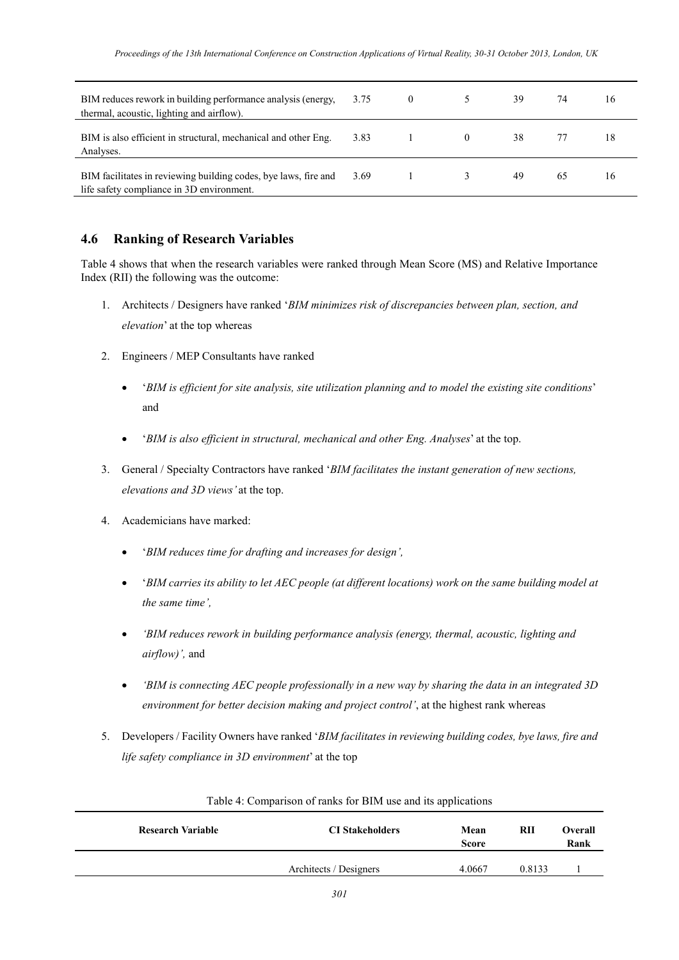| BIM reduces rework in building performance analysis (energy,<br>thermal, acoustic, lighting and airflow).    | 3.75 | $_{0}$ |          | 39 | 74 | 16 |
|--------------------------------------------------------------------------------------------------------------|------|--------|----------|----|----|----|
| BIM is also efficient in structural, mechanical and other Eng.<br>Analyses.                                  | 3.83 |        | $\theta$ | 38 |    | 18 |
| BIM facilitates in reviewing building codes, bye laws, fire and<br>life safety compliance in 3D environment. | 3.69 |        |          | 49 | 65 | 16 |

### **4.6 Ranking of Research Variables**

Table 4 shows that when the research variables were ranked through Mean Score (MS) and Relative Importance Index (RII) the following was the outcome:

- 1. Architects / Designers have ranked '*BIM minimizes risk of discrepancies between plan, section, and elevation*' at the top whereas
- 2. Engineers / MEP Consultants have ranked
	- '*BIM is efficient for site analysis, site utilization planning and to model the existing site conditions*' and
	- '*BIM is also efficient in structural, mechanical and other Eng. Analyses*' at the top.
- 3. General / Specialty Contractors have ranked '*BIM facilitates the instant generation of new sections, elevations and 3D views'* at the top.
- 4. Academicians have marked:
	- '*BIM reduces time for drafting and increases for design',*
	- '*BIM carries its ability to let AEC people (at different locations) work on the same building model at the same time',*
	- *'BIM reduces rework in building performance analysis (energy, thermal, acoustic, lighting and airflow)',* and
	- *'BIM is connecting AEC people professionally in a new way by sharing the data in an integrated 3D environment for better decision making and project control'*, at the highest rank whereas
- 5. Developers / Facility Owners have ranked '*BIM facilitates in reviewing building codes, bye laws, fire and life safety compliance in 3D environment*' at the top

| <b>Research Variable</b> | <b>CI Stakeholders</b> | Mean<br><b>Score</b> | RH     | <b>Overall</b><br>Rank |
|--------------------------|------------------------|----------------------|--------|------------------------|
|                          | Architects / Designers | 4.0667               | 0.8133 |                        |

#### Table 4: Comparison of ranks for BIM use and its applications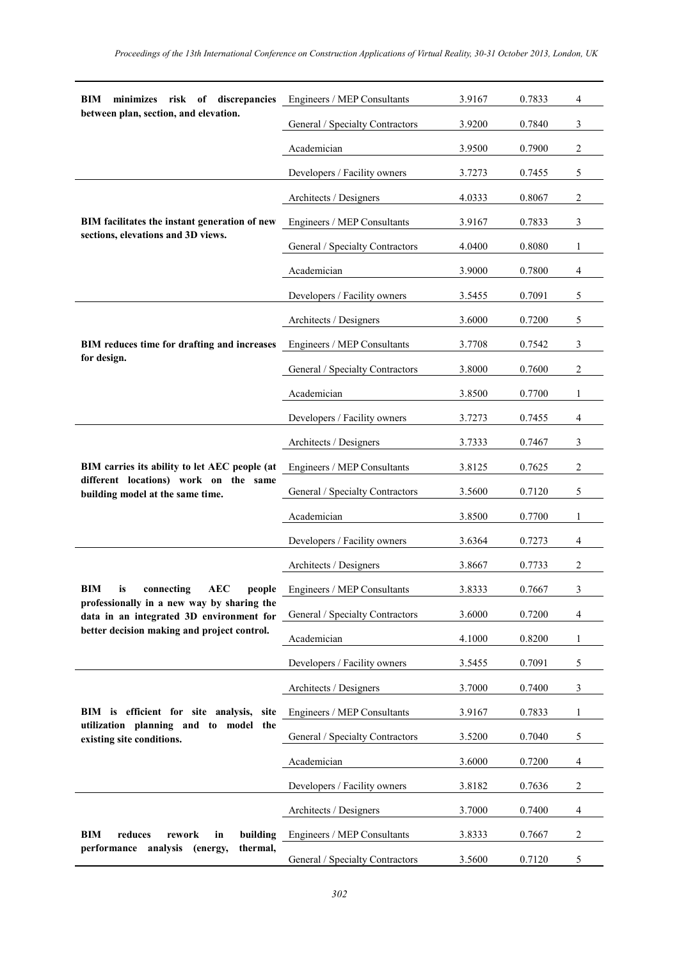| BIM<br>minimizes                                                                       | risk of discrepancies Engineers / MEP Consultants | 3.9167 | 0.7833 | 4              |
|----------------------------------------------------------------------------------------|---------------------------------------------------|--------|--------|----------------|
| between plan, section, and elevation.                                                  | General / Specialty Contractors                   | 3.9200 | 0.7840 | $\mathfrak{Z}$ |
|                                                                                        | Academician                                       | 3.9500 | 0.7900 | $\sqrt{2}$     |
|                                                                                        | Developers / Facility owners                      | 3.7273 | 0.7455 | 5              |
|                                                                                        | Architects / Designers                            | 4.0333 | 0.8067 | $\sqrt{2}$     |
| BIM facilitates the instant generation of new                                          | Engineers / MEP Consultants                       | 3.9167 | 0.7833 | $\mathfrak{Z}$ |
| sections, elevations and 3D views.                                                     | General / Specialty Contractors                   | 4.0400 | 0.8080 | $\mathbf{1}$   |
|                                                                                        | Academician                                       | 3.9000 | 0.7800 | 4              |
|                                                                                        | Developers / Facility owners                      | 3.5455 | 0.7091 | $\sqrt{5}$     |
|                                                                                        | Architects / Designers                            | 3.6000 | 0.7200 | 5              |
| BIM reduces time for drafting and increases                                            | Engineers / MEP Consultants                       | 3.7708 | 0.7542 | $\mathfrak{Z}$ |
| for design.                                                                            | General / Specialty Contractors                   | 3.8000 | 0.7600 | $\sqrt{2}$     |
|                                                                                        | Academician                                       | 3.8500 | 0.7700 | 1              |
|                                                                                        | Developers / Facility owners                      | 3.7273 | 0.7455 | $\overline{4}$ |
|                                                                                        | Architects / Designers                            | 3.7333 | 0.7467 | $\mathfrak{Z}$ |
| BIM carries its ability to let AEC people (at                                          | Engineers / MEP Consultants                       | 3.8125 | 0.7625 | $\sqrt{2}$     |
| different locations) work on the same<br>building model at the same time.              | General / Specialty Contractors                   | 3.5600 | 0.7120 | $\sqrt{5}$     |
|                                                                                        | Academician                                       | 3.8500 | 0.7700 | 1              |
|                                                                                        | Developers / Facility owners                      | 3.6364 | 0.7273 | $\overline{4}$ |
|                                                                                        | Architects / Designers                            | 3.8667 | 0.7733 | $\overline{c}$ |
| <b>AEC</b><br>BIM<br>connecting<br>is<br>people                                        | Engineers / MEP Consultants                       | 3.8333 | 0.7667 | 3              |
| professionally in a new way by sharing the<br>data in an integrated 3D environment for | General / Specialty Contractors                   | 3.6000 | 0.7200 | 4              |
| better decision making and project control.                                            | Academician                                       | 4.1000 | 0.8200 | 1              |
|                                                                                        | Developers / Facility owners                      | 3.5455 | 0.7091 | $\sqrt{5}$     |
|                                                                                        | Architects / Designers                            | 3.7000 | 0.7400 | $\mathfrak{Z}$ |
| BIM is efficient for site analysis, site                                               | Engineers / MEP Consultants                       | 3.9167 | 0.7833 | 1              |
| utilization planning and to model the<br>existing site conditions.                     | General / Specialty Contractors                   | 3.5200 | 0.7040 | $\sqrt{5}$     |
|                                                                                        | Academician                                       | 3.6000 | 0.7200 | $\overline{4}$ |
|                                                                                        | Developers / Facility owners                      | 3.8182 | 0.7636 | 2              |
|                                                                                        | Architects / Designers                            | 3.7000 | 0.7400 | 4              |
| <b>BIM</b><br>reduces<br>building<br>rework<br>in                                      | Engineers / MEP Consultants                       | 3.8333 | 0.7667 | $\overline{c}$ |
| performance<br>analysis<br>thermal,<br>(energy,                                        | General / Specialty Contractors                   | 3.5600 | 0.7120 | $\sqrt{5}$     |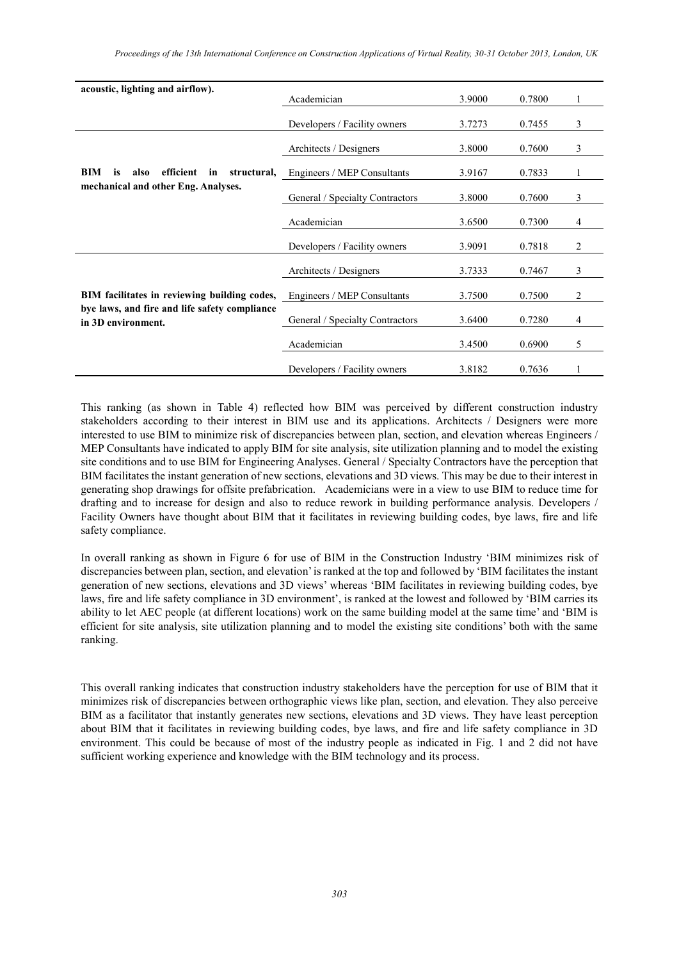| acoustic, lighting and airflow).                                                                                    | Academician                     | 3.9000 | 0.7800 | 1 |
|---------------------------------------------------------------------------------------------------------------------|---------------------------------|--------|--------|---|
|                                                                                                                     | Developers / Facility owners    | 3.7273 | 0.7455 | 3 |
| BIM<br>efficient<br>is<br>also<br>structural,<br>in<br>mechanical and other Eng. Analyses.                          | Architects / Designers          | 3.8000 | 0.7600 | 3 |
|                                                                                                                     | Engineers / MEP Consultants     | 3.9167 | 0.7833 |   |
|                                                                                                                     | General / Specialty Contractors | 3.8000 | 0.7600 | 3 |
|                                                                                                                     | Academician                     | 3.6500 | 0.7300 | 4 |
|                                                                                                                     | Developers / Facility owners    | 3.9091 | 0.7818 | 2 |
| BIM facilitates in reviewing building codes,<br>bye laws, and fire and life safety compliance<br>in 3D environment. | Architects / Designers          | 3.7333 | 0.7467 | 3 |
|                                                                                                                     | Engineers / MEP Consultants     | 3.7500 | 0.7500 | 2 |
|                                                                                                                     | General / Specialty Contractors | 3.6400 | 0.7280 | 4 |
|                                                                                                                     | Academician                     | 3.4500 | 0.6900 | 5 |
|                                                                                                                     | Developers / Facility owners    | 3.8182 | 0.7636 | 1 |

This ranking (as shown in Table 4) reflected how BIM was perceived by different construction industry stakeholders according to their interest in BIM use and its applications. Architects / Designers were more interested to use BIM to minimize risk of discrepancies between plan, section, and elevation whereas Engineers / MEP Consultants have indicated to apply BIM for site analysis, site utilization planning and to model the existing site conditions and to use BIM for Engineering Analyses. General / Specialty Contractors have the perception that BIM facilitates the instant generation of new sections, elevations and 3D views. This may be due to their interest in generating shop drawings for offsite prefabrication. Academicians were in a view to use BIM to reduce time for drafting and to increase for design and also to reduce rework in building performance analysis. Developers / Facility Owners have thought about BIM that it facilitates in reviewing building codes, bye laws, fire and life safety compliance.

In overall ranking as shown in Figure 6 for use of BIM in the Construction Industry 'BIM minimizes risk of discrepancies between plan, section, and elevation' is ranked at the top and followed by 'BIM facilitates the instant generation of new sections, elevations and 3D views' whereas 'BIM facilitates in reviewing building codes, bye laws, fire and life safety compliance in 3D environment', is ranked at the lowest and followed by 'BIM carries its ability to let AEC people (at different locations) work on the same building model at the same time' and 'BIM is efficient for site analysis, site utilization planning and to model the existing site conditions' both with the same ranking.

This overall ranking indicates that construction industry stakeholders have the perception for use of BIM that it minimizes risk of discrepancies between orthographic views like plan, section, and elevation. They also perceive BIM as a facilitator that instantly generates new sections, elevations and 3D views. They have least perception about BIM that it facilitates in reviewing building codes, bye laws, and fire and life safety compliance in 3D environment. This could be because of most of the industry people as indicated in Fig. 1 and 2 did not have sufficient working experience and knowledge with the BIM technology and its process.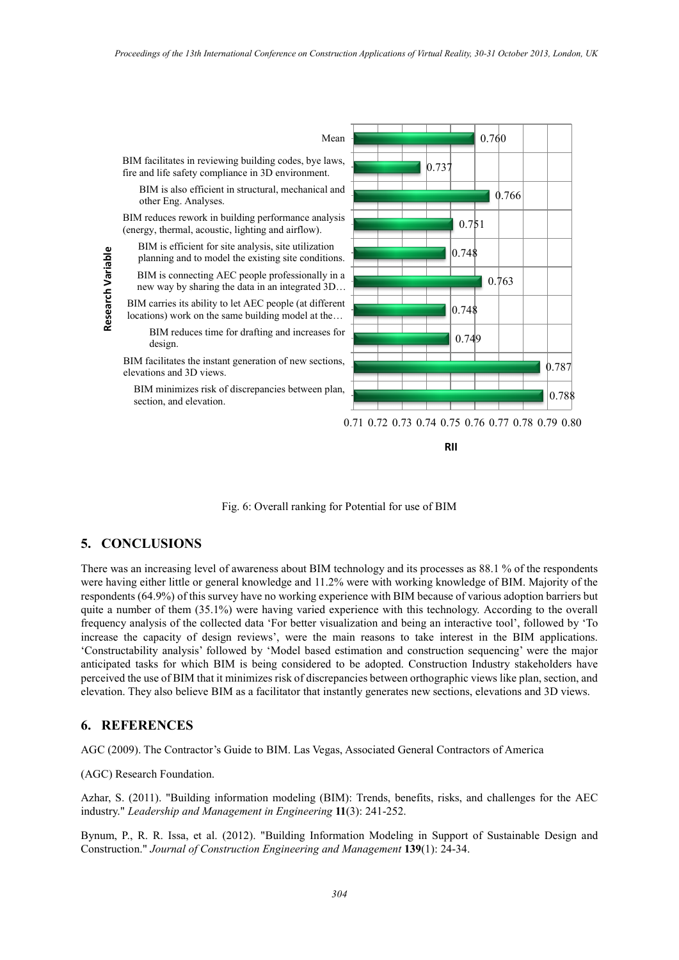

Fig. 6: Overall ranking for Potential for use of BIM

### **5. CONCLUSIONS**

There was an increasing level of awareness about BIM technology and its processes as 88.1 % of the respondents were having either little or general knowledge and 11.2% were with working knowledge of BIM. Majority of the respondents (64.9%) of this survey have no working experience with BIM because of various adoption barriers but quite a number of them (35.1%) were having varied experience with this technology. According to the overall frequency analysis of the collected data 'For better visualization and being an interactive tool', followed by 'To increase the capacity of design reviews', were the main reasons to take interest in the BIM applications. 'Constructability analysis' followed by 'Model based estimation and construction sequencing' were the major anticipated tasks for which BIM is being considered to be adopted. Construction Industry stakeholders have perceived the use of BIM that it minimizes risk of discrepancies between orthographic views like plan, section, and elevation. They also believe BIM as a facilitator that instantly generates new sections, elevations and 3D views.

### **6. REFERENCES**

AGC (2009). The Contractor's Guide to BIM. Las Vegas, Associated General Contractors of America

(AGC) Research Foundation.

Azhar, S. (2011). "Building information modeling (BIM): Trends, benefits, risks, and challenges for the AEC industry." *Leadership and Management in Engineering* **11**(3): 241-252.

Bynum, P., R. R. Issa, et al. (2012). "Building Information Modeling in Support of Sustainable Design and Construction." *Journal of Construction Engineering and Management* **139**(1): 24-34.